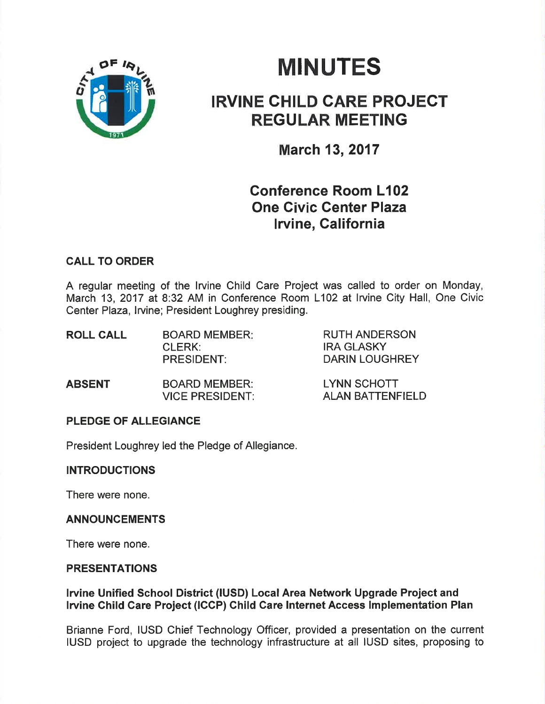

# **MINUTES**

## IRVINE CHILD GARE PROJEGT REGULAR MEETING

March 13,2017

### Gonference Room L102 One Civic Genter Plaza lrvine, California

#### CALL TO ORDER

A regular meeting of the lrvine Child Care Project was called to order on Monday, March 13, 2017 at 8:32 AM in Conference Room L102 at lrvine City Hall, One Civic Center Plaza, lrvine; President Loughrey presiding.

| <b>BOARD MEMBER:</b> | <b>RUTH ANDERSON</b>  |
|----------------------|-----------------------|
| CLERK:               | <b>IRA GLASKY</b>     |
| <b>PRESIDENT:</b>    | <b>DARIN LOUGHREY</b> |
|                      |                       |

| <b>ABSENT</b> | <b>BOARD MEMBER:</b>   | <b>LYNN SCHOTT</b>      |
|---------------|------------------------|-------------------------|
|               | <b>VICE PRESIDENT:</b> | <b>ALAN BATTENFIELD</b> |

#### PLEDGE OF ALLEGIANCE

President Loughrey led the Pledge of Allegiance.

#### INTRODUCTIONS

There were none.

#### ANNOUNCEMENTS

There were none.

#### PRESENTATIONS

#### lruine Unified School District (¡USD) Local Area Network Upgrade Project and Irvine Child Care Project (ICCP) Child Care Internet Access Implementation Plan

Brianne Ford, IUSD Chief Technology Officer, provided a presentation on the current IUSD project to upgrade the technology infrastructure at all IUSD sites, proposing to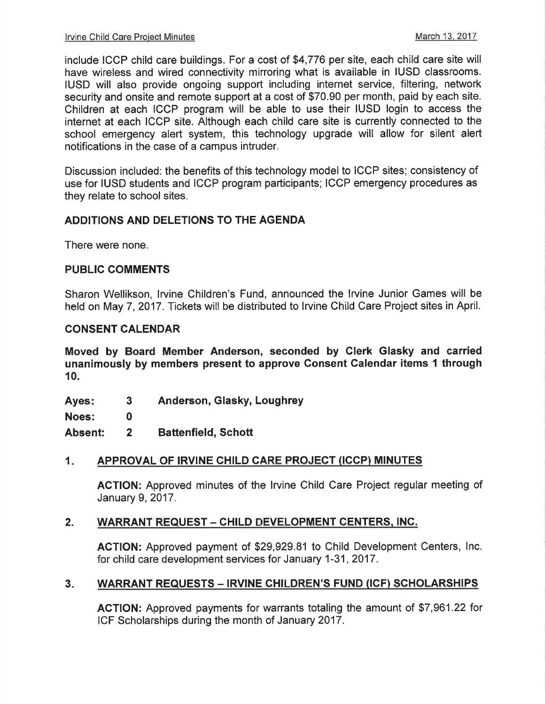include ICCP child care buildings. For a cost of \$4,776 per site, each child care site will have wireless and wired connectivity mirroring what is available in IUSD classrooms. IUSD will also provide ongoing support including internet service, filtering, network security and onsite and remote support at a cost of \$70.90 per month, paid by each site. Children at each ICCP program will be able to use their IUSD login to access the internet at each ICCP site. Although each child care site is currently connected to the school emergency alert system, this technology upgrade will allow for silent alert notifications in the case of a campus intruder.

Discussion included: the benefits of this technology model to ICCP sites; consistency of use for IUSD students and ICCP program participants; ICCP emergency procedures as they relate to school sites.

#### ADDITIONS AND DELETIONS TO THE AGENDA

There were none.

#### PUBLIC COMMENTS

Sharon Wellikson, lrvine Children's Fund, announced the lrvine Junior Games will be held on May 7, 2017. Tickets will be distributed to lrvine Child Care Project sites in April.

#### CONSENT CALENDAR

Moved by Board Member Anderson, seconded by Glerk Glasky and carried unanimously by members present to approve Consent Calendar items I through 10.

Anderson, Glasky, Loughrey Ayes: 3

Noes: 0

Absent: 2 Battenfield, Schott

#### 1. APPROVAL OF IRVINE CHILD CARE PROJECT (ICCP) MINUTES

AGTION: Approved minutes of the lrvine Child Care Project regular meeting of January 9,2017.

#### 2. WARRANT REQUEST - CHILD DEVELOPMENT CENTERS, INC.

ACTION: Approved payment of \$29,929.81 to Child Development Centers, lnc. for child care development services for January 1-31,2017.

#### WARRANT REQUESTS - IRVINE CHILDREN'S FUND (ICF) SCHOLARSHIPS  $3<sub>ii</sub>$

ACTION: Approved payments for warrants totaling the amount of \$7,961.22 for ICF Scholarships during the month of January 2017.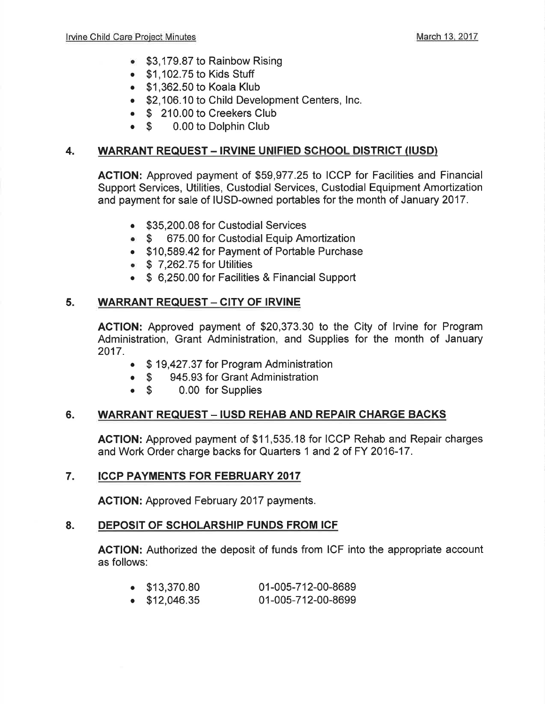- \$3,179.87 to Rainbow Rising
- . \$1 ,102.75 to Kids Stuff
- . \$1,362.50 to Koala Klub
- \$2,106.10 to Child Development Centers, Inc.
- **S** 210.00 to Creekers Club<br>**S** 0.00 to Dolphin Club
- 0.00 to Dolphin Club

#### 4. WARRANT REQUEST - IRVINE UNIFIED SCHOOL DISTRICT (IUSD)

AGTION: Approved payment of \$59,977.25 to ICCP for Facilities and Financial Support Services, Utilities, Custodial Services, Custodial Equipment Amortization and payment for sale of IUSD-owned portables for the month of January 2017.

- . \$35,200.08 for Custodial Services
- \$ 675.00 for Custodial Equip Amortization
- . \$10,589.42 for Payment of Portable Purchase
- $\bullet$  \$ 7,262.75 for Utilities
- \$ 6,250.00 for Facilities & Financial Support

#### 5. WARRANT REQUEST - CITY OF IRVINE

ACTION: Approved payment of \$20,373.30 to the City of lrvine for Program Administration, Grant Administration, and Supplies for the month of January 2017.

- . \$ 19,427.37 for Program Administration
- \$ 945.93 for Grant Administration<br>• \$ 0.00 for Supplies
- 0.00 for Supplies

#### 6. WARRANT REQUEST - IUSD REHAB AND REPAIR CHARGE BACKS

ACTION: Approved payment of \$11,535.18 for ICCP Rehab and Repair charges and Work Order charge backs for Quarters 1 and 2 of FY 2016-17.

#### 7. ICCP PAYMENTS FOR FEBRUARY 2OI7

AGTION: Approved February 2017 payments.

#### 8. DEPOSIT OF SCHOLARSHIP FUNDS FROM ICF

ACTION: Authorized the deposit of funds from ICF into the appropriate account as follows:

- . \$13,370.80 01-005-712-00-8689
- $\bullet$  \$12,046.35 01-005-712-00-8699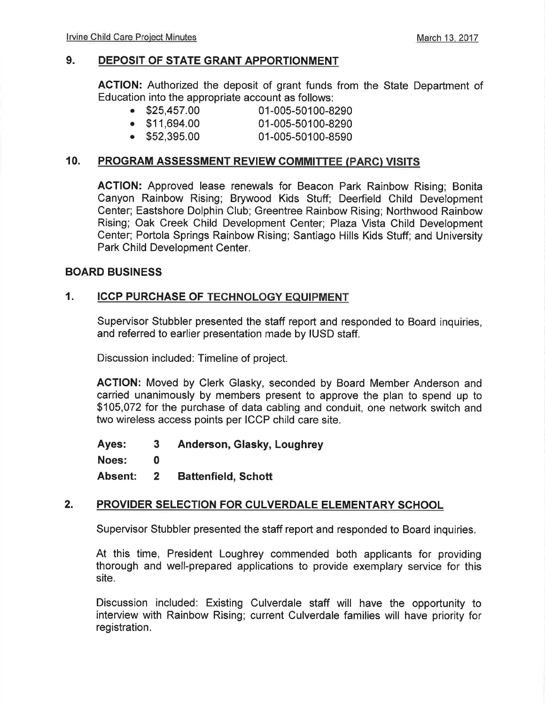#### 9. DEPOSIT OF STATE GRANT APPORTIONMENT

ACTION: Authorized the deposit of grant funds from the State Department of Education into the appropriate account as follows:

- . \$25,457.00 01-005-50100-8290
- . \$11,694.00 01-005-50100-8290
	- 01-005-50100-8590

#### 10. PROGRAM ASSESSMENT REVIEW COMMITTEE (PARC) VISITS

ACTION: Approved lease renewals for Beacon Park Rainbow Rising; Bonita Canyon Rainbow Rising; Brywood Kids Stuff; Deerfield Child Development Center; Eastshore Dolphin Club; Greentree Rainbow Rising; Northwood Rainbow Rising; Oak Creek Child Development Center; Plaza Vista Child Development Center; Portola Springs Rainbow Rising; Santiago Hills Kids Stuff; and University Park Child Development Center.

#### BOARD BUSINESS

#### 1. ICCP PURCHASE OF TECHNOLOGY EQUIPMENT

Supervisor Stubbler presented the staff report and responded to Board inquiries, and referred to earlier presentation made by IUSD staff.

Discussion included: Timeline of project.

ACTION: Moved by Clerk Glasky, seconded by Board Member Anderson and carried unanimously by members present to approve the plan to spend up to \$105,072 for the purchase of data cabling and conduit, one network switch and two wireless access points per ICCP child care site.

Ayes: <sup>3</sup> Noes: 0 Absent: <sup>2</sup> Anderson, Glasky, Loughrey Battenfield, Schott

#### 2. PROVIDER SELECTION FOR CULVERDALE ELEMENTARY SCHOOL

Supervisor Stubbler presented the staff report and responded to Board inquiries.

At this time, President Loughrey commended both applicants for providing thorough and well-prepared applications to provide exemplary service for this site.

Discussion included: Existing Culverdale staff will have the opportunity to interview with Rainbow Rising; current Culverdale families will have prioríty for registration.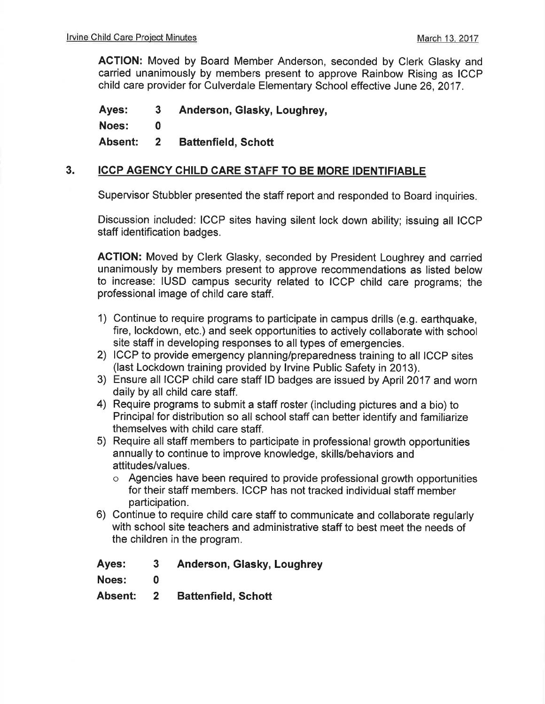ACTION: Moved by Board Member Anderson, seconded by Clerk Glasky and carried unanimously by members present to approve Rainbow Rising as ICCP child care provider for Culverdale Elementary School effective June 26, 2017.

Ayes: <sup>3</sup> Noes: 0 Absent: <sup>2</sup> Anderson, Glasky, Loughrey, Battenfield, Schott

#### 3. ICCP AGENCY CHILD CARE STAFF TO BE MORE IDENTIFIABLE

Supervisor Stubbler presented the staff report and responded to Board inquiries

Discussion included: ICCP sites having silent lock down ability; issuing all ICCP staff identification badges.

ACTION: Moved by Clerk Glasky, seconded by President Loughrey and carried unanimously by members present to approve recommendations as listed below to increase: IUSD campus security related to ICCP child care programs; the professional image of child care staff.

- 1) Continue to require programs to participate in campus drills (e.9. earthquake, fire, lockdown, etc.) and seek opportunities to actively collaborate with school site staff in developing responses to all types of emergencies.
- 2) ICCP to provide emergency planning/preparedness training to all ICCP sites (last Lockdown training provided by lrvine Public Safety in 2013).
- 3) Ensure all ICCP child care staff lD badges are issued by April 2017 and worn daily by all child care staff.
- 4) Require programs to submit a staff roster (including pictures and a bio) to Principal for distribution so all school staff can better identify and familiarize themselves with child care staff.
- 5) Require all staff members to participate in professional growth opportunities annually to continue to improve knowledge, skills/behaviors and attitudes/values.
	- o Agencies have been required to provide professional growth opportunities for their staff members. ICCP has not tracked individual staff member participation.
- 6) Continue to require child care staff to communicate and collaborate regularly with school site teachers and administrative staff to best meet the needs of the children in the program.

Ayes: <sup>3</sup> Anderson, Glasky, Loughrey

Noes: 0

Absent: <sup>2</sup> Battenfield, Schott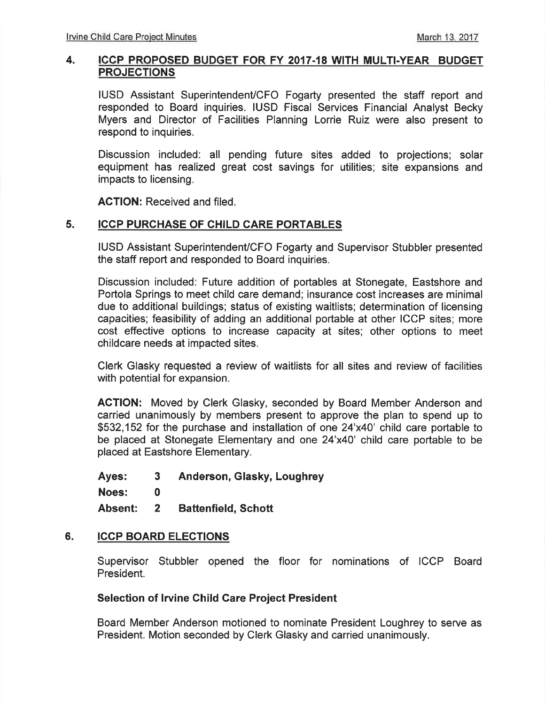#### 4. ICCP PROPOSED BUDGET FOR FY 2017.18 WITH MULTI.YEAR BUDGET PROJECTIONS

IUSD Assistant Superintendent/CFO Fogarty presented the staff report and responded to Board inquiries. IUSD Fiscal Services Financial Analyst Becky Myers and Director of Facilities Planning Lorrie Ruiz were also present to respond to inquiríes.

Discussion included: all pending future sites added to projections; solar equipment has realized great cost savings for utilities; site expansions and impacts to licensing.

ACTION: Received and filed.

#### 5. ICCP PURCHASE OF CHILD CARE PORTABLES

IUSD Assistant Superintendent/CFO Fogarty and Supervisor Stubbler presented the staff report and responded to Board inquiries.

Discussion included: Future addition of portables at Stonegate, Eastshore and Portola Springs to meet child care demand; insurance cost increases are minimal due to additional buildings; status of existing waitlists; determination of licensing capacities; feasibility of adding an additional portable at other ICCP sites; more cost effective options to increase capacity at sites; other options to meet childcare needs at impacted sites.

Clerk Glasky requested a review of waitlists for all sites and review of facilities with potential for expansion.

AGTION: Moved by Clerk Glasky, seconded by Board Member Anderson and carried unanimously by members present to approve the plan to spend up to \$532,152 for the purchase and installation of one 24'x40' child care portable to be placed at Stonegate Elementary and one 24'x40' child care portable to be placed at Eastshore Elementary.

Ayes: <sup>3</sup> Anderson, Glasky, Loughrey

Noes: 0

Absent: <sup>2</sup> Battenfield, Schott

#### 6. ICCP BOARD ELECTIONS

Supervisor Stubbler opened the floor for nominations of ICCP Board President.

#### Selection of Irvine Child Care Project President

Board Member Anderson motioned to nominate President Loughrey to serve as President. Motion seconded by Clerk Glasky and carried unanimously.